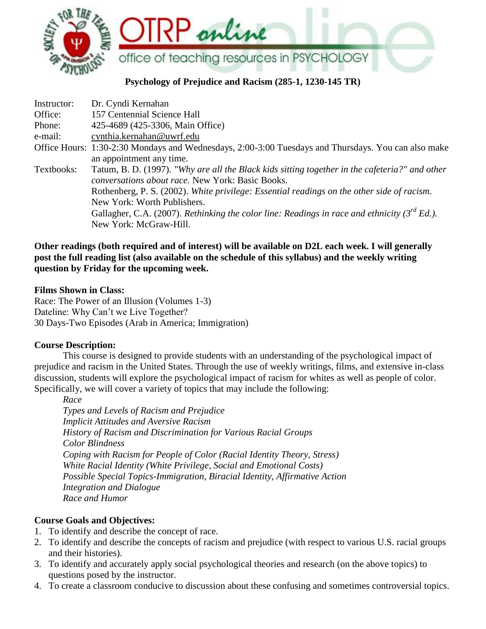

# **Psychology of Prejudice and Racism (285-1, 1230-145 TR)**

| Instructor: | Dr. Cyndi Kernahan                                                                                                                                 |
|-------------|----------------------------------------------------------------------------------------------------------------------------------------------------|
| Office:     | 157 Centennial Science Hall                                                                                                                        |
| Phone:      | 425-4689 (425-3306, Main Office)                                                                                                                   |
| e-mail:     | cynthia.kernahan@uwrf.edu                                                                                                                          |
|             | Office Hours: 1:30-2:30 Mondays and Wednesdays, 2:00-3:00 Tuesdays and Thursdays. You can also make<br>an appointment any time.                    |
| Textbooks:  | Tatum, B. D. (1997). "Why are all the Black kids sitting together in the cafeteria?" and other<br>conversations about race. New York: Basic Books. |
|             | Rothenberg, P. S. (2002). White privilege: Essential readings on the other side of racism.                                                         |
|             | New York: Worth Publishers.                                                                                                                        |
|             | Gallagher, C.A. (2007). Rethinking the color line: Readings in race and ethnicity ( $3^{rd}$ Ed.).                                                 |
|             | New York: McGraw-Hill.                                                                                                                             |

## **Other readings (both required and of interest) will be available on D2L each week. I will generally post the full reading list (also available on the schedule of this syllabus) and the weekly writing question by Friday for the upcoming week.**

#### **Films Shown in Class:**

Race: The Power of an Illusion (Volumes 1-3) Dateline: Why Can't we Live Together? 30 Days-Two Episodes (Arab in America; Immigration)

#### **Course Description:**

This course is designed to provide students with an understanding of the psychological impact of prejudice and racism in the United States. Through the use of weekly writings, films, and extensive in-class discussion, students will explore the psychological impact of racism for whites as well as people of color. Specifically, we will cover a variety of topics that may include the following:

*Race Types and Levels of Racism and Prejudice Implicit Attitudes and Aversive Racism History of Racism and Discrimination for Various Racial Groups Color Blindness Coping with Racism for People of Color (Racial Identity Theory, Stress) White Racial Identity (White Privilege, Social and Emotional Costs) Possible Special Topics-Immigration, Biracial Identity, Affirmative Action Integration and Dialogue Race and Humor*

## **Course Goals and Objectives:**

- 1. To identify and describe the concept of race.
- 2. To identify and describe the concepts of racism and prejudice (with respect to various U.S. racial groups and their histories).
- 3. To identify and accurately apply social psychological theories and research (on the above topics) to questions posed by the instructor.
- 4. To create a classroom conducive to discussion about these confusing and sometimes controversial topics.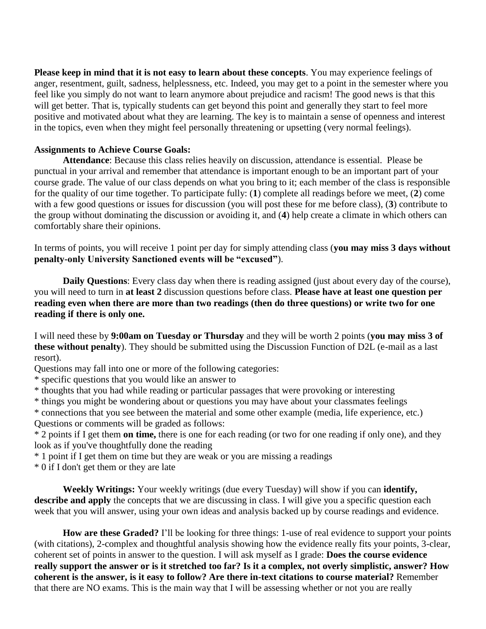**Please keep in mind that it is not easy to learn about these concepts**. You may experience feelings of anger, resentment, guilt, sadness, helplessness, etc. Indeed, you may get to a point in the semester where you feel like you simply do not want to learn anymore about prejudice and racism! The good news is that this will get better. That is, typically students can get beyond this point and generally they start to feel more positive and motivated about what they are learning. The key is to maintain a sense of openness and interest in the topics, even when they might feel personally threatening or upsetting (very normal feelings).

#### **Assignments to Achieve Course Goals:**

**Attendance**: Because this class relies heavily on discussion, attendance is essential. Please be punctual in your arrival and remember that attendance is important enough to be an important part of your course grade. The value of our class depends on what you bring to it; each member of the class is responsible for the quality of our time together. To participate fully: (**1**) complete all readings before we meet, (**2**) come with a few good questions or issues for discussion (you will post these for me before class), (**3**) contribute to the group without dominating the discussion or avoiding it, and (**4**) help create a climate in which others can comfortably share their opinions.

In terms of points, you will receive 1 point per day for simply attending class (**you may miss 3 days without penalty-only University Sanctioned events will be "excused"**).

**Daily Questions**: Every class day when there is reading assigned (just about every day of the course), you will need to turn in **at least 2** discussion questions before class. **Please have at least one question per reading even when there are more than two readings (then do three questions) or write two for one reading if there is only one.** 

I will need these by **9:00am on Tuesday or Thursday** and they will be worth 2 points (**you may miss 3 of these without penalty**). They should be submitted using the Discussion Function of D2L (e-mail as a last resort).

Questions may fall into one or more of the following categories:

\* specific questions that you would like an answer to

\* thoughts that you had while reading or particular passages that were provoking or interesting

\* things you might be wondering about or questions you may have about your classmates feelings

\* connections that you see between the material and some other example (media, life experience, etc.) Questions or comments will be graded as follows:

\* 2 points if I get them **on time,** there is one for each reading (or two for one reading if only one), and they look as if you've thoughtfully done the reading

\* 1 point if I get them on time but they are weak or you are missing a readings

\* 0 if I don't get them or they are late

**Weekly Writings:** Your weekly writings (due every Tuesday) will show if you can **identify, describe and apply** the concepts that we are discussing in class. I will give you a specific question each week that you will answer, using your own ideas and analysis backed up by course readings and evidence.

**How are these Graded?** I'll be looking for three things: 1-use of real evidence to support your points (with citations), 2-complex and thoughtful analysis showing how the evidence really fits your points, 3-clear, coherent set of points in answer to the question. I will ask myself as I grade: **Does the course evidence really support the answer or is it stretched too far? Is it a complex, not overly simplistic, answer? How coherent is the answer, is it easy to follow? Are there in-text citations to course material?** Remember that there are NO exams. This is the main way that I will be assessing whether or not you are really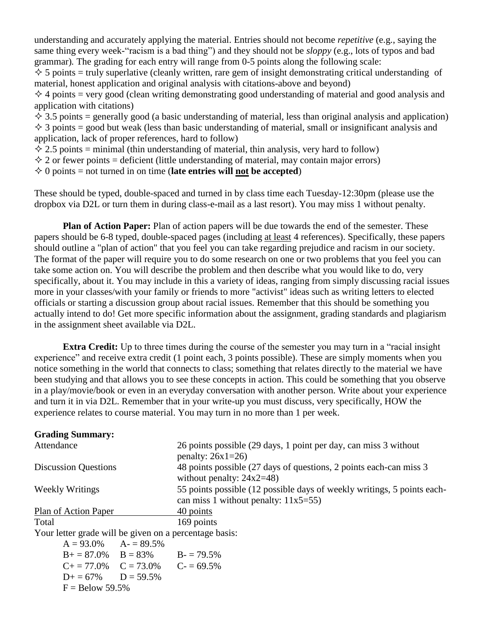understanding and accurately applying the material. Entries should not become *repetitive* (e.g., saying the same thing every week-"racism is a bad thing") and they should not be *sloppy* (e.g., lots of typos and bad grammar)*.* The grading for each entry will range from 0-5 points along the following scale:

 $\Diamond$  5 points = truly superlative (cleanly written, rare gem of insight demonstrating critical understanding of material, honest application and original analysis with citations-above and beyond)

 $\Diamond$  4 points = very good (clean writing demonstrating good understanding of material and good analysis and application with citations)

 $\lozenge$  3.5 points = generally good (a basic understanding of material, less than original analysis and application)  $\Diamond$  3 points = good but weak (less than basic understanding of material, small or insignificant analysis and application, lack of proper references, hard to follow)

 $\div$  2.5 points = minimal (thin understanding of material, thin analysis, very hard to follow)

 $\Diamond$  2 or fewer points = deficient (little understanding of material, may contain major errors)

 $\Diamond$  0 points = not turned in on time (**late entries will not be accepted**)

These should be typed, double-spaced and turned in by class time each Tuesday-12:30pm (please use the dropbox via D2L or turn them in during class-e-mail as a last resort). You may miss 1 without penalty.

**Plan of Action Paper:** Plan of action papers will be due towards the end of the semester. These papers should be 6-8 typed, double-spaced pages (including at least 4 references). Specifically, these papers should outline a "plan of action" that you feel you can take regarding prejudice and racism in our society. The format of the paper will require you to do some research on one or two problems that you feel you can take some action on. You will describe the problem and then describe what you would like to do, very specifically, about it. You may include in this a variety of ideas, ranging from simply discussing racial issues more in your classes/with your family or friends to more "activist" ideas such as writing letters to elected officials or starting a discussion group about racial issues. Remember that this should be something you actually intend to do! Get more specific information about the assignment, grading standards and plagiarism in the assignment sheet available via D2L.

**Extra Credit:** Up to three times during the course of the semester you may turn in a "racial insight" experience" and receive extra credit (1 point each, 3 points possible). These are simply moments when you notice something in the world that connects to class; something that relates directly to the material we have been studying and that allows you to see these concepts in action. This could be something that you observe in a play/movie/book or even in an everyday conversation with another person. Write about your experience and turn it in via D2L. Remember that in your write-up you must discuss, very specifically, HOW the experience relates to course material. You may turn in no more than 1 per week.

| <b>Grading Summary:</b>                                |                                                                                                                    |
|--------------------------------------------------------|--------------------------------------------------------------------------------------------------------------------|
| Attendance                                             | 26 points possible (29 days, 1 point per day, can miss 3 without<br>penalty: $26x1=26$                             |
| <b>Discussion Questions</b>                            | 48 points possible (27 days of questions, 2 points each-can miss 3<br>without penalty: $24x2=48$ )                 |
| <b>Weekly Writings</b>                                 | 55 points possible (12 possible days of weekly writings, 5 points each-<br>can miss 1 without penalty: $11x5=55$ ) |
| Plan of Action Paper                                   | 40 points                                                                                                          |
| Total                                                  | 169 points                                                                                                         |
| Your letter grade will be given on a percentage basis: |                                                                                                                    |
| $A = 93.0\%$ $A = 89.5\%$                              |                                                                                                                    |
| $B_0 = 87.0\%$ $B = 83\%$ $B_0 = 79.5\%$               |                                                                                                                    |
| $C_{\pm} = 77.0\%$ $C = 73.0\%$ $C_{\pm} = 69.5\%$     |                                                                                                                    |
| $D+ = 67\%$ $D = 59.5\%$                               |                                                                                                                    |
| $F =$ Below 59.5%                                      |                                                                                                                    |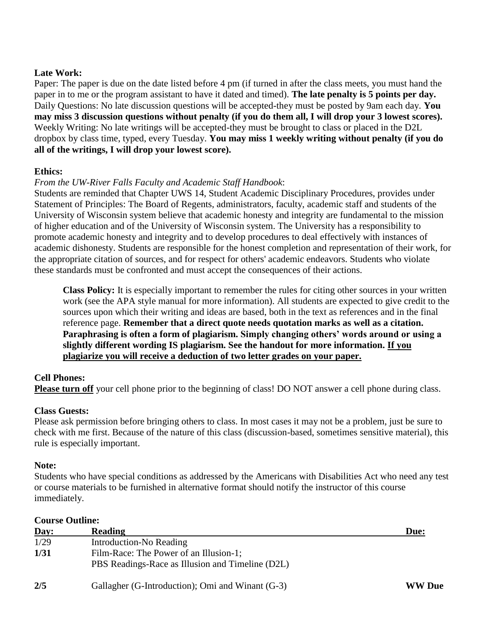#### **Late Work:**

Paper: The paper is due on the date listed before 4 pm (if turned in after the class meets, you must hand the paper in to me or the program assistant to have it dated and timed). **The late penalty is 5 points per day.** Daily Questions: No late discussion questions will be accepted-they must be posted by 9am each day. **You may miss 3 discussion questions without penalty (if you do them all, I will drop your 3 lowest scores).** Weekly Writing: No late writings will be accepted-they must be brought to class or placed in the D2L dropbox by class time, typed, every Tuesday. **You may miss 1 weekly writing without penalty (if you do all of the writings, I will drop your lowest score).**

#### **Ethics:**

## *From the UW-River Falls Faculty and Academic Staff Handbook*:

Students are reminded that Chapter UWS 14, Student Academic Disciplinary Procedures, provides under Statement of Principles: The Board of Regents, administrators, faculty, academic staff and students of the University of Wisconsin system believe that academic honesty and integrity are fundamental to the mission of higher education and of the University of Wisconsin system. The University has a responsibility to promote academic honesty and integrity and to develop procedures to deal effectively with instances of academic dishonesty. Students are responsible for the honest completion and representation of their work, for the appropriate citation of sources, and for respect for others' academic endeavors. Students who violate these standards must be confronted and must accept the consequences of their actions.

**Class Policy:** It is especially important to remember the rules for citing other sources in your written work (see the APA style manual for more information). All students are expected to give credit to the sources upon which their writing and ideas are based, both in the text as references and in the final reference page. **Remember that a direct quote needs quotation marks as well as a citation. Paraphrasing is often a form of plagiarism. Simply changing others' words around or using a slightly different wording IS plagiarism. See the handout for more information. If you plagiarize you will receive a deduction of two letter grades on your paper.** 

#### **Cell Phones:**

**Please turn off** your cell phone prior to the beginning of class! DO NOT answer a cell phone during class.

#### **Class Guests:**

Please ask permission before bringing others to class. In most cases it may not be a problem, just be sure to check with me first. Because of the nature of this class (discussion-based, sometimes sensitive material), this rule is especially important.

#### **Note:**

Students who have special conditions as addressed by the Americans with Disabilities Act who need any test or course materials to be furnished in alternative format should notify the instructor of this course immediately.

## **Course Outline:**

| Day: | <b>Reading</b>                                                                             | Due:   |
|------|--------------------------------------------------------------------------------------------|--------|
| 1/29 | Introduction-No Reading                                                                    |        |
| 1/31 | Film-Race: The Power of an Illusion-1;<br>PBS Readings-Race as Illusion and Timeline (D2L) |        |
| 2/5  | Gallagher (G-Introduction); Omi and Winant (G-3)                                           | WW Due |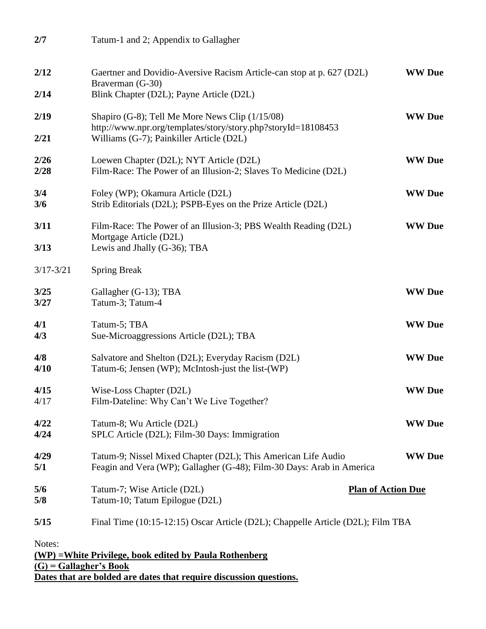| 2/7                                                                                                                                                                 | Tatum-1 and 2; Appendix to Gallagher                                                                                                                         |               |  |  |  |
|---------------------------------------------------------------------------------------------------------------------------------------------------------------------|--------------------------------------------------------------------------------------------------------------------------------------------------------------|---------------|--|--|--|
| 2/12                                                                                                                                                                | Gaertner and Dovidio-Aversive Racism Article-can stop at p. 627 (D2L)<br>Braverman (G-30)                                                                    | <b>WW</b> Due |  |  |  |
| 2/14                                                                                                                                                                | Blink Chapter (D2L); Payne Article (D2L)                                                                                                                     |               |  |  |  |
| 2/19<br>2/21                                                                                                                                                        | Shapiro (G-8); Tell Me More News Clip (1/15/08)<br>http://www.npr.org/templates/story/story.php?storyId=18108453<br>Williams (G-7); Painkiller Article (D2L) | <b>WW</b> Due |  |  |  |
| 2/26<br>2/28                                                                                                                                                        | Loewen Chapter (D2L); NYT Article (D2L)<br>Film-Race: The Power of an Illusion-2; Slaves To Medicine (D2L)                                                   | <b>WW</b> Due |  |  |  |
| 3/4<br>3/6                                                                                                                                                          | Foley (WP); Okamura Article (D2L)<br>Strib Editorials (D2L); PSPB-Eyes on the Prize Article (D2L)                                                            | <b>WW</b> Due |  |  |  |
| 3/11                                                                                                                                                                | Film-Race: The Power of an Illusion-3; PBS Wealth Reading (D2L)<br>Mortgage Article (D2L)                                                                    | <b>WW</b> Due |  |  |  |
| 3/13                                                                                                                                                                | Lewis and Jhally (G-36); TBA                                                                                                                                 |               |  |  |  |
| $3/17 - 3/21$                                                                                                                                                       | <b>Spring Break</b>                                                                                                                                          |               |  |  |  |
| 3/25<br>3/27                                                                                                                                                        | Gallagher (G-13); TBA<br>Tatum-3; Tatum-4                                                                                                                    | <b>WW</b> Due |  |  |  |
| 4/1<br>4/3                                                                                                                                                          | Tatum-5; TBA<br>Sue-Microaggressions Article (D2L); TBA                                                                                                      | <b>WW</b> Due |  |  |  |
| 4/8<br>4/10                                                                                                                                                         | Salvatore and Shelton (D2L); Everyday Racism (D2L)<br>Tatum-6; Jensen (WP); McIntosh-just the list-(WP)                                                      | <b>WW</b> Due |  |  |  |
| 4/15<br>4/17                                                                                                                                                        | Wise-Loss Chapter (D2L)<br>Film-Dateline: Why Can't We Live Together?                                                                                        | <b>WW</b> Due |  |  |  |
| 4/22<br>4/24                                                                                                                                                        | Tatum-8; Wu Article (D2L)<br>SPLC Article (D2L); Film-30 Days: Immigration                                                                                   | <b>WW</b> Due |  |  |  |
| 4/29<br>5/1                                                                                                                                                         | Tatum-9; Nissel Mixed Chapter (D2L); This American Life Audio<br>Feagin and Vera (WP); Gallagher (G-48); Film-30 Days: Arab in America                       | <b>WW</b> Due |  |  |  |
| 5/6<br>5/8                                                                                                                                                          | <b>Plan of Action Due</b><br>Tatum-7; Wise Article (D2L)<br>Tatum-10; Tatum Epilogue (D2L)                                                                   |               |  |  |  |
| 5/15                                                                                                                                                                | Final Time (10:15-12:15) Oscar Article (D2L); Chappelle Article (D2L); Film TBA                                                                              |               |  |  |  |
| Notes:<br>(WP) = White Privilege, book edited by Paula Rothenberg<br>$(G)$ = Gallagher's Book<br>Dates that are bolded are dates that require discussion questions. |                                                                                                                                                              |               |  |  |  |